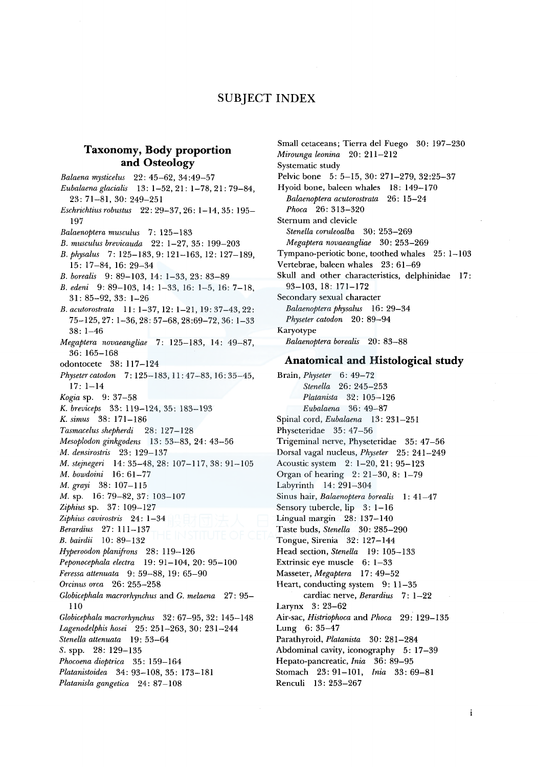# SUBJECT INDEX

# **Taxonomy, Body proportion and Osteology**

*Balaena mysticelus* 22: 45-62, 34 :49-57 *Eubalaenaglacialis* 13: 1-52, 21: 1-78, 21: 79-84, 23: 71-81, 30: 249-251 *Eschrichtius robustus* 22: 29-37, 26: 1-14, 35: 195- 197 *Balaenopteramusculus* 7: 125-183 *B. musculus brevicauda* 22: 1-27, 35: 199-203 *B. physalus* 7: 125-183, 9: 121-163, 12: 127-189, 15: 17-84, 16: 29-34 *B. borealis* 9: 89-103, 14: 1-33, 23: 83-89 *B. edeni* 9: 89-103, 14: 1-33, 16: 1-5, 16: 7-18, 31: 85-92, 33: 1-26 *B.acutorostrata* 11: 1-37, 12: 1-21, 19:37-43,22: 75-125,27: 1-36,28:57-68,28:69-72,36: 1-33 38: 1-46 *Megaptera novaeangliae* 7: 125-183, 14: 49-87, 36: 165-168 odontocete 38: 117-124 *Physetercatodon* 7: 125-183, 11: 47-83, 16: 35-45, 17: 1-14 *Kogia* sp. 9: 37-58 K. *breviceps* 33: 119-124, 35: 183-193 K. *simus* 38: 171-186 *Tasmacelus shepherdi* 28: 127-128 *Mesoplodon ginkgodens* 13: 53-83, 24: 43-56 *M. densirostris* 23: 129-137 *M. stejnegeri* 14: 35-48, 28: 107-117, 38: 91-105 *M. bowdoini* 16: 61-77 *M. grayi* 38: 107-115 M. sp. 16: 79-82, 37: 103-107 *Ziphius* sp. 37: 109-127 *Ziphius cavirostris* 24: 1-34 *Berardius* 27: 111-137 *B. bairdii* 10: 89-132 *Hyperoodon planifrons* 28: 119-126 *Peponocephala electra* 19: 91-104, 20: 95-100 *Feressa attenuata* 9: 59-88, 19: 65-90 *Orcinus orca* 26: 255-258 *Globicephala macrorhynchus* and *G. melaena* 27: 95- 110 *Globicephala macrorhynchus* 32: 67-95, 32: 145-148 *Lagenodelphis hosei* 25: 251-263, 30: 231-244 *Stenella attenuata* 19: 53-64 *S.* spp. 28: 129-135 *Phocoena dioptrica* 35: 159-164 *Platanistoidea* 34: 93-108, 35: 173-181 *Platanisla gangetica* 24: 87-108

Small cetaceans; Tierra de! Fuego 30: 197-230 *Mirounga leonina* 20: 211-212 Systematic study Pelvic bone 5: 5-15, 30: 271-279, 32:25-37 Hyoid bone, baleen whales 18: 149-170 *Balaenoptera acutorostrata* 26: 15-24 *Phoca* 26: 313-320 Sternum and clevicle *Stenella coruleoalba* 30: 253-269 *Megaptera novaeangliae* 30: 253-269 Tympano-periotic bone, toothed whales 25: 1-103 Vertebrae, baleen whales 23: 61-69 Skull and other characteristics, delphinidae 17: 93-103, 18: 171-172 Secondary sexual character *Balaenoptera physalus* 16: 29-34 *Physeter catodon* 20: 89-94 Karyotype *Balaenoptera borealis* 20: 83-88

#### **Anatomical and Histological study**

Brain, *Physeter* 6: 49-72 *Stenella* 26: 245-253 *Platanista* 32: 105-126 *Eubalaena* 36: 49-87 Spinal cord, *Eubalaena* 13: 231-251 Physeteridae 35: 47-56 Trigeminal nerve, Physeteridae 35: 47-56 Dorsal vagal nucleus, *Physeter* 25: 241-249 Acoustic system 2: 1-20, 21: 95-123 Organ of hearing 2: 21-30, 8: 1-79 Labyrinth 14: 291-304 Sinus hair, *Balaenoptera borealis* 1: 41-47 Sensory tubercle, lip 3: 1-16 Lingual margin 28: 137-140 Taste buds, *Stenella* 30: 285-290 Tongue, Sirenia 32: 127-144 Head section, *Stenella* 19: 105-133 Extrinsic eye muscle 6: 1-33 Masseter, *Megaptera* 17: 49-52 Heart, conducting system 9: 11-35 cardiac nerve, *Berardius* 7: 1-22 Larynx 3: 23-62 Air-sac, *Histriophoca* and *Phoca* 29: 129-135 Lung 6: 35-47 Parathyroid, *Platanista* 30: 281-284 Abdominal cavity, iconography 5: 17-39 Hepato-pancreatic, *Inia* 36: 89-95 Stomach 23: 91-101, *Inia* 33: 69-81 Renculi 13: 253-267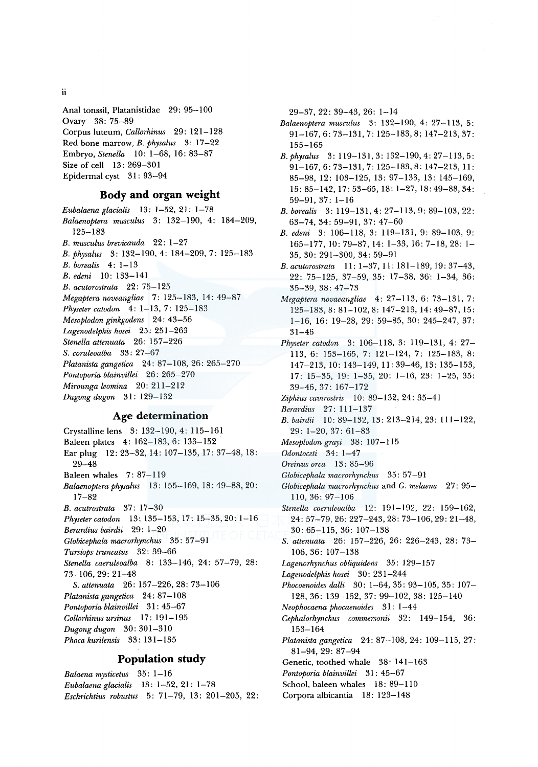ii

Anal tonssil, Platanistidae 29: 95-100 Ovary 38: 75-89 Corpus luteum, *Callorhinus* 29: 121-128 Red bone marrow, *B. physalus* 3: 17-22 Embryo, *Stenella* 10: 1-68, 16: 83-87 Size of cell 13: 269-301 Epidermal cyst 31: 93-94

#### **Body and organ weight**

*Eubalaena glacialis* 13: 1-52, 21: 1-78 *Balaenoptera musculus* 3: 132-190, 4: 184-209, 125-183 *B. musculus brevicauda* 22: 1-27 *B. physalus* 3: 132-190, 4: 184-209, 7: 125-183 *B. borealis* 4: 1-13 *B. edeni* 10: 133-141 *B. acutorostrata* 22: 75-125 *Megaptera noveangliae* 7: 125-183, 14: 49-87 *Physeter catodon* 4: 1-13, 7: 125-183 *Mesoplodon ginkgodens* 24: 43-56 *Lagenodelphis hosei* 25: 251-263 *Stene/la attenuata* 26: 157-226 *S. coruleoalba* 33: 27-67 *Platanista gangetica* 24: 87-108, 26: 265-270 Pontoporia blainvillei 26: 265-270 *Mirounga leomina* 20: 211-212 *Dugong dugon* 31: 129-132

### **Age determination**

Crystalline lens 3: 132-190, 4: 115-161 Baleen plates 4: 162-183, 6: 133-152 Earplug 12: 23-32, 14: 107-135, 17: 37-48, 18: 29-48 Baleen whales 7: 87-119 *Balaenopteraphysalus* 13: 155-169, 18: 49-88, 20: 17-82 *B. acutrostrata* 37: 17-30 *Physetercatodon* 13: 135-153, 17: 15-35, 20: 1-16 *Berardius bairdii* 29: 1-20 *Globicephala macrorhynchus* 35: 57-91 *Tursiops truncatus* 32: 39-66 *Stenella caeruleoalba* 8: 133-146, 24: 57-79, 28: 73-106,29:21-48 *S. attenuata* 26: 157-226, 28: 73-106 *Platanista gangetica* 24: 87-108 Pontoporia blainvillei 31: 45-67 *Collorhinus ursinus* 17: 191-195 *Dugong dugon* 30: 301-310 *Phoca kurilensis* 33: 131-135

# **Population study**

*Balaena mysticetus* 35: 1-16 *Eubalaena glacialis* 13: 1-52, 21: 1-78 *Eschrichtius robustus* 5: 71-79, 13: 201-205, 22: 29-37,22: 39-43, 26: 1-14

- *Balaenoptera musculus* 3: 132-190, 4: 27-113, 5: 91-167,6:73-131,7: 125-183,8; 147-213,37: 155-165
- *B.physalus* 3: 119-131,3: 132-190,4:27-113,5: 91-167, 6: 73-131, 7: 125-183, 8: 147-213, 11: 85-98, 12: 103-125, 13: 97-133, 13: 145-169, 15: 85-142, 17:53-65, 18: 1-27, 18:49-88,34: 59-91, 37: 1-16
- *B. borealis* 3: 119-131, 4: 27-113, 9: 89-103, 22: 63-74,34: 59-91, 37: 47-60
- *B. edeni* 3: 106-118, 3: 119-131, 9: 89-103, 9: 165-177, 10: 79-87, 14: 1-33, 16: 7-18, 28: 1- 35, 30: 291-300, 34: 59-91
- *B. acutorostrata* 11: 1-37, 11: 181-189, 19: 37-43, 22: 75-125, 37-59, 35: 17-38, 36: 1-34, 36: 35-39,38: 47-73
- *Megaptera novaeangliae* 4: 27-113, 6: 73-131, 7: 125-183,8: 81-102,8: 147-213, 14:49-87, 15: 1-16, 16: 19-28, 29: 59-85, 30: 245-247, 37: 31-46
- *Physeter catodon* 3: 106-118, 3: 119-131, 4: 27- 113, 6: 153-165, 7: 121-124, 7: 125-183, 8: 147-213, 10: 143-149, 11: 39-46, 13: 135-153, 17: 15-35, 19: 1-35, 20: 1-16, 23: 1-25, 35: 39-46, 37: 167-172
- *Ziphius cavirostris* 10: 89-132, 24: 35-41
- *Berardius* 27: 111-137
- *B. bairdii* 10: 89-132, 13: 213-214, 23: 111-122, 29: 1-20, 37: 61-83
- *Mesoplodon grayi* 38: 107-115
- *Odontoceti* 34: 1-4 7
- *Oreinus orca* 13: 85-96
- *Globicephala macrorhynchus* 35: 57-91
- *Globicephala macrorhynchus* and G. *melaena* 27: 95- 110, 36: 97-106
- *Stenella coeruleoalba* 12: 191-192, 22: 159-162, 24: 57-79,26:227-243,28:73-106,29:21-48, 30: 65-115, 36: 107-138
- *S. attenuata* 26: 157-226, 26: 226-243, 28: 73- 106, 36: 107-138
- *Lagenorhynchus obliquidens* 35: 129-15 7
- *Lagenodelphis hosei* 30: 231-244
- *Phocoenoides dalli* 30: 1-64, 35: 93-105, 35: 107- 128, 36: 139-152, 37: 99-102, 38: 125-140
- *Neophocaena phocaenoides* 31: 1-44
- *Cephalorhynchus commersonii* 32: 149-154, 36: 153-164
- *Platanista gangetica* 24: 87-108, 24: 109-115, 27: 81-94, 29: 87-94
- Genetic, toothed whale 38: 141-163
- *Pontoporia blainvillei* 31: 45-67
- School, baleen whales 18: 89-110
- Corpora albicantia 18: 123-148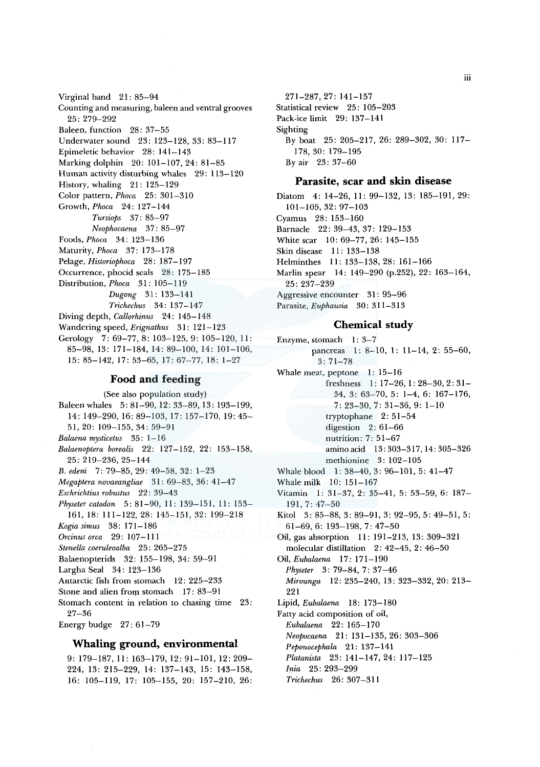Virginal band 21: 85-94 Counting and measuring, baleen and ventral grooves 25: 279-292 Baleen, function 28: 37-55 Underwater sound 23: 123-128, 33: 83-117 Epimeletic behavior 28: 141-143 Marking dolphin 20: 101-107, 24: 81-85 Human activity disturbing whales 29: 113-120 History, whaling 21: 125-129 Color pattern, *Phoca* 25: 301-310 Growth, *Phoca* 24: 127-144 *Tursiops* 37: 85-97 *Neophocaena* 37: 85-97 Foods, *Phoca* 34: 123-136 Maturity, *Phoca* 37: 173-178 Pelage, *Historiophoca* 28: 187-197 Occurrence, phocid seals 28: 175-185 Distribution, *Phoca* 31: 105-119 *Dugong* 31: 133-141 *Trichechus* 34: 137-147 Diving depth, *Callorhinus* 24: 145-148 Wandering speed, *Erignathus* 31: 121-123 Gerology 7: 69-77, 8: 103-125, 9: 105-120, 11: 85-98, 13: 171-184, 14: 89-100, 14: 101-106, 15: 85-142, 17: 53-65, 17: 67-77, 18: 1-27

### **Food and feeding**

(See also population study) Baleen whales 5: 81-90, 12: 33-89, 13: 193-199, 14: 149-290, 16: 89-103, 17: 157-170, 19: 45-51,20: 109-155,34: 59-91 *Balaena mysticetus* 35: 1-16 *Balaenoptera borealis* 22: 127-152, 22: 153-158, 25: 219-236,25-144 *B. edeni* 7: 79-85, 29: 49-58, 32: 1-23 *Megaptera novaeangliae* 31: 69-83, 36: 41-47 *Eschrichtius robustus* 22: 39-43 *Physeter catodon* 5: 81-90, 11: 139-151, 11: 153- 161, 18: 111-122, 28: 145-151, 32: 199-218 *Kogia simus* 38: 171-186 *Orcinus orca* 29: 107-111 *Stene/la coeruleoalba* 25: 265-275 Balaenopterids 32: 155-198, 34: 59-91 Largha Seal 34: 123-136 Antarctic fish from stomach 12: 225-233 Stone and alien from stomach 17: 83-91 Stomach content in relation to chasing time 23: 27-36 Energy budge 27: 61-79

## **Whaling ground, environmental**

9: 179-187, 11: 163-179, 12: 91-101, 12: 209- 224, 13: 215-229, 14: 137-143, 15: 143-158, 16: 105-119, 17: 105-155, 20: 157-210, 26:

271-287, 27: 141-157 Statistical review 25: 105-203 Pack-ice limit 29: 137-141 Sighting By boat 25: 205-217, 26: 289-302, 30: 117- 178, 30: 179-195 By air 23: 37-60

## **Parasite, scar and skin disease**

Diatom 4: 14-26, 11: 99-132, 13: 185-191, 29: 101-105,32: 97-103 Cyamus 28: 153-160 Barnacle 22: 39-43, 37: 129-153 White scar 10: 69-77, 26: 145-155 Skin disease 11: 133-138 Helminthes 11: 133-138, 28: 161-166 Marlin spear 14: 149-290 (p.252), 22: 163-164, 25: 237-239 Aggressive encounter 31 : 95-96 Parasite, *Euphausia* 30: 311-313

### **Chemical study**

Enzyme, stomach l: 3-7 pancreas 1: 8-10, 1: 11-14, 2: 55-60, 3: 71-78 Whale meat, peptone  $1: 15-16$ freshness 1: 17-26, 1: 28-30, 2: 31-34, 3: 63-70, 5: 1-4, 6: 167-176, 7: 23-30, 7: 31-36, 9: 1-10 tryptophane 2: 51-54 digestion 2: 61-66 nutrition: 7: 51-67 amino acid 13: 303-317, 14: 305-326 methionine 3: 102-105 Whale blood 1: 38-40, 3: 96-101, 5: 41-47 Whale milk 10: 151-167 Vitamin 1: 31-37, 2: 35-41, 5: 53-59, 6: 187- 191, 7: 47-50 Kitol 3: 85-88, 3: 89-91, 3: 92-95, 5: 49-51, 5: 61-69,6: 193-198,7:47-50 Oil, gas absorption 11: 191-213, 13: 309-321 molecular distillation 2: 42-45, 2: 46-50 Oil, *Eubalaena* 17: 171-190 *Physeter* 3: 79-84, 7: 37-46 *Mirounga* 12: 235-240, 13: 323-332, 20: 213- 221 Lipid, *Eubalaena* 18: 173-180 Fatty acid composition of oil, *Eubalaena* 22: 165-170 *Neopocaena* 21: 131-135, 26: 303-306 *Peponocephala* 21: 137-141 *Platanista* 23: 141-147, 24: 117-125 *Inia* 25: 293-299 *Trichechus* 26: 307-311